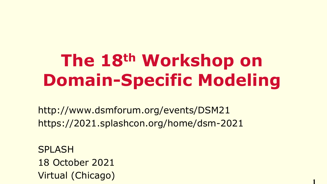## **The 18th Workshop on Domain-Specific Modeling**

**1**

http://www.dsmforum.org/events/DSM21 https://2021.splashcon.org/home/dsm-2021

SPLASH 18 October 2021 Virtual (Chicago)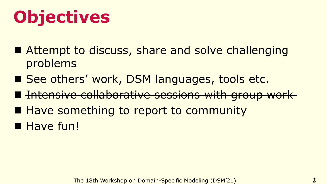# **Objectives**

- Attempt to discuss, share and solve challenging problems
- See others' work, DSM languages, tools etc.
- Intensive collaborative sessions with group work
- Have something to report to community
- Have fun!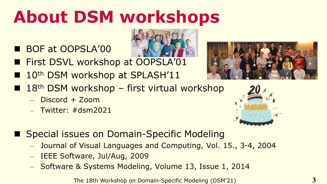## **About DSM workshops**

- BOF at OOPSLA'00
- First DSVL workshop at OOPSLA'01
- 10<sup>th</sup> DSM workshop at SPLASH'11
- $\blacksquare$  18<sup>th</sup> DSM workshop first virtual workshop
	- Discord + Zoom
	- $-$  Twitter:  $\#$ dsm2021





- Special issues on Domain-Specific Modeling
	- Journal of Visual Languages and Computing, Vol. 15., 3-4, 2004
	- IEEE Software, Jul/Aug, 2009
	- Software & Systems Modeling, Volume 13, Issue 1, 2014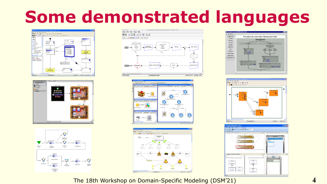### **Some demonstrated languages**

















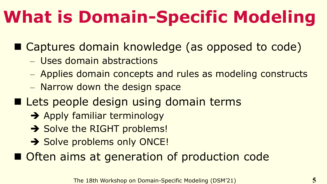# **What is Domain-Specific Modeling**

■ Captures domain knowledge (as opposed to code)

- Uses domain abstractions
- Applies domain concepts and rules as modeling constructs
- Narrow down the design space
- Lets people design using domain terms
	- **→** Apply familiar terminology
	- **→ Solve the RIGHT problems!**
	- **→ Solve problems only ONCE!**

■ Often aims at generation of production code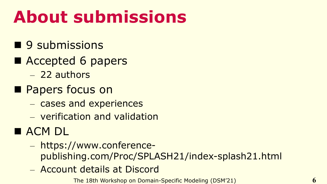## **About submissions**

- 9 submissions
- Accepted 6 papers
	- 22 authors
- Papers focus on
	- cases and experiences
	- verification and validation
- ACM DL
	- https://www.conferencepublishing.com/Proc/SPLASH21/index-splash21.html
	- Account details at Discord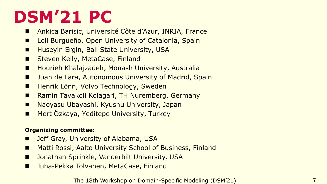### **DSM'21 PC**

- Ankica Barisic, Université Côte d'Azur, INRIA, France
- Loli Burgueño, Open University of Catalonia, Spain
- Huseyin Ergin, Ball State University, USA
- Steven Kelly, MetaCase, Finland
- Hourieh Khalajzadeh, Monash University, Australia
- Juan de Lara, Autonomous University of Madrid, Spain
- Henrik Lönn, Volvo Technology, Sweden
- Ramin Tavakoli Kolagari, TH Nuremberg, Germany
- Naoyasu Ubayashi, Kyushu University, Japan
- Mert Özkaya, Yeditepe University, Turkey

#### **Organizing committee:**

- **Jeff Gray, University of Alabama, USA**
- Matti Rossi, Aalto University School of Business, Finland
- Jonathan Sprinkle, Vanderbilt University, USA
- Juha-Pekka Tolvanen, MetaCase, Finland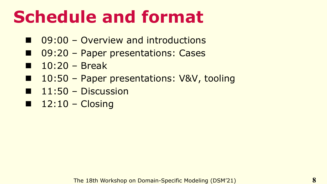## **Schedule and format**

- $\Box$  09:00 Overview and introductions
- 09:20 Paper presentations: Cases
- $\blacksquare$  10:20 Break
- 10:50 Paper presentations: V&V, tooling
- $\blacksquare$  11:50 Discussion
- $\blacksquare$  12:10 Closing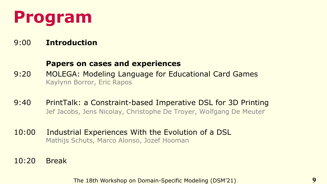### **Program**

#### 9:00 **Introduction**

#### **Papers on cases and experiences**

- 9:20 MOLEGA: Modeling Language for Educational Card Games Kaylynn Borror, Eric Rapos
- 9:40 PrintTalk: a Constraint-based Imperative DSL for 3D Printing Jef Jacobs, Jens Nicolay, Christophe De Troyer, Wolfgang De Meuter
- 10:00 Industrial Experiences With the Evolution of a DSL Mathijs Schuts, Marco Alonso, Jozef Hooman
- 10:20 Break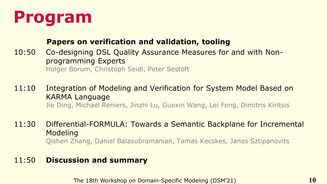### **Program**

#### **Papers on verification and validation, tooling**

- 10:50 Co-designing DSL Quality Assurance Measures for and with Nonprogramming Experts Holger Borum, Christoph Seidl, Peter Sestoft
- 11:10 Integration of Modeling and Verification for System Model Based on KARMA Language Jie Ding, Michael Reniers, Jinzhi Lu, Guoxin Wang, Lei Feng, Dimitris Kiritsis
- 11:30 Differential-FORMULA: Towards a Semantic Backplane for Incremental Modeling Qishen Zhang, Daniel Balasubramanian, Tamas Kecskes, Janos Sztipanovits

#### 11:50 **Discussion and summary**